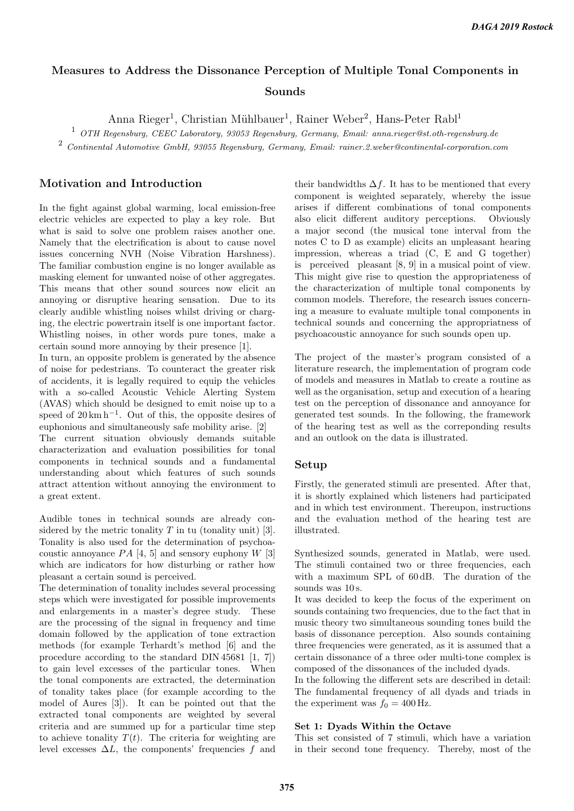# Measures to Address the Dissonance Perception of Multiple Tonal Components in Sounds

Anna Rieger<sup>1</sup>, Christian Mühlbauer<sup>1</sup>, Rainer Weber<sup>2</sup>, Hans-Peter Rabl<sup>1</sup>

 $1$  OTH Regensburg, CEEC Laboratory, 93053 Regensburg, Germany, Email: anna.rieger@st.oth-regensburg.de

<sup>2</sup> Continental Automotive GmbH, 93055 Regensburg, Germany, Email: rainer.2.weber@continental-corporation.com

# Motivation and Introduction

In the fight against global warming, local emission-free electric vehicles are expected to play a key role. But what is said to solve one problem raises another one. Namely that the electrification is about to cause novel issues concerning NVH (Noise Vibration Harshness). The familiar combustion engine is no longer available as masking element for unwanted noise of other aggregates. This means that other sound sources now elicit an annoying or disruptive hearing sensation. Due to its clearly audible whistling noises whilst driving or charging, the electric powertrain itself is one important factor. Whistling noises, in other words pure tones, make a certain sound more annoying by their presence [1].

In turn, an opposite problem is generated by the absence of noise for pedestrians. To counteract the greater risk of accidents, it is legally required to equip the vehicles with a so-called Acoustic Vehicle Alerting System (AVAS) which should be designed to emit noise up to a speed of  $20 \text{ km h}^{-1}$ . Out of this, the opposite desires of euphonious and simultaneously safe mobility arise. [2] The current situation obviously demands suitable characterization and evaluation possibilities for tonal components in technical sounds and a fundamental understanding about which features of such sounds attract attention without annoying the environment to a great extent.

Audible tones in technical sounds are already considered by the metric tonality  $T$  in tu (tonality unit) [3]. Tonality is also used for the determination of psychoacoustic annoyance  $PA$  [4, 5] and sensory euphony W [3] which are indicators for how disturbing or rather how pleasant a certain sound is perceived.

The determination of tonality includes several processing steps which were investigated for possible improvements and enlargements in a master's degree study. These are the processing of the signal in frequency and time domain followed by the application of tone extraction methods (for example Terhardt's method [6] and the procedure according to the standard DIN 45681 [1, 7]) to gain level excesses of the particular tones. When the tonal components are extracted, the determination of tonality takes place (for example according to the model of Aures [3]). It can be pointed out that the extracted tonal components are weighted by several criteria and are summed up for a particular time step to achieve tonality  $T(t)$ . The criteria for weighting are level excesses  $\Delta L$ , the components' frequencies f and their bandwidths  $\Delta f$ . It has to be mentioned that every component is weighted separately, whereby the issue arises if different combinations of tonal components also elicit different auditory perceptions. Obviously a major second (the musical tone interval from the notes C to D as example) elicits an unpleasant hearing impression, whereas a triad (C, E and G together) is perceived pleasant [8, 9] in a musical point of view. This might give rise to question the appropriateness of the characterization of multiple tonal components by common models. Therefore, the research issues concerning a measure to evaluate multiple tonal components in technical sounds and concerning the appropriatness of psychoacoustic annoyance for such sounds open up.

The project of the master's program consisted of a literature research, the implementation of program code of models and measures in Matlab to create a routine as well as the organisation, setup and execution of a hearing test on the perception of dissonance and annoyance for generated test sounds. In the following, the framework of the hearing test as well as the correponding results and an outlook on the data is illustrated.

### Setup

Firstly, the generated stimuli are presented. After that, it is shortly explained which listeners had participated and in which test environment. Thereupon, instructions and the evaluation method of the hearing test are illustrated.

Synthesized sounds, generated in Matlab, were used. The stimuli contained two or three frequencies, each with a maximum SPL of 60 dB. The duration of the sounds was  $10$  s.

It was decided to keep the focus of the experiment on sounds containing two frequencies, due to the fact that in music theory two simultaneous sounding tones build the basis of dissonance perception. Also sounds containing three frequencies were generated, as it is assumed that a certain dissonance of a three oder multi-tone complex is composed of the dissonances of the included dyads.

In the following the different sets are described in detail: The fundamental frequency of all dyads and triads in the experiment was  $f_0 = 400$  Hz.

### Set 1: Dyads Within the Octave

This set consisted of 7 stimuli, which have a variation in their second tone frequency. Thereby, most of the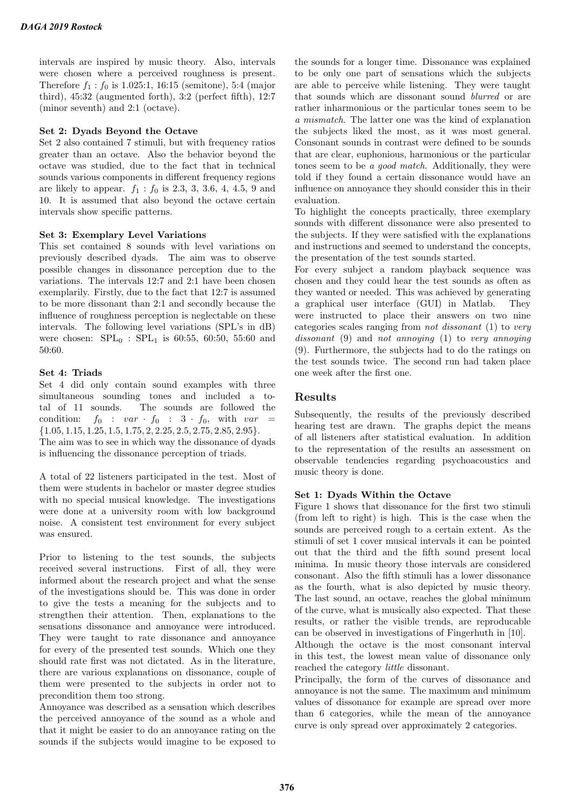intervals are inspired by music theory. Also, intervals were chosen where a perceived roughness is present. Therefore  $f_1 : f_0$  is 1.025:1, 16:15 (semitone), 5:4 (major third), 45:32 (augmented forth), 3:2 (perfect fifth), 12:7 (minor seventh) and 2:1 (octave).

### Set 2: Dyads Beyond the Octave

Set 2 also contained 7 stimuli, but with frequency ratios greater than an octave. Also the behavior beyond the octave was studied, due to the fact that in technical sounds various components in different frequency regions are likely to appear.  $f_1 : f_0$  is 2.3, 3, 3.6, 4, 4.5, 9 and 10. It is assumed that also beyond the octave certain intervals show specific patterns.

### Set 3: Exemplary Level Variations

This set contained 8 sounds with level variations on previously described dyads. The aim was to observe possible changes in dissonance perception due to the variations. The intervals 12:7 and 2:1 have been chosen exemplarily. Firstly, due to the fact that 12:7 is assumed to be more dissonant than 2:1 and secondly because the influence of roughness perception is neglectable on these intervals. The following level variations (SPL's in dB) were chosen:  $SPL_0$ :  $SPL_1$  is 60:55, 60:50, 55:60 and 50:60.

### Set 4: Triads

Set 4 did only contain sound examples with three simultaneous sounding tones and included a total of 11 sounds. The sounds are followed the condition:  $f_0 : var \cdot f_0 : 3 \cdot f_0$ , with var  ${1.05, 1.15, 1.25, 1.5, 1.75, 2, 2.25, 2.5, 2.75, 2.85, 2.95}.$ The aim was to see in which way the dissonance of dyads is influencing the dissonance perception of triads.

A total of 22 listeners participated in the test. Most of them were students in bachelor or master degree studies with no special musical knowledge. The investigations were done at a university room with low background noise. A consistent test environment for every subject was ensured.

Prior to listening to the test sounds, the subjects received several instructions. First of all, they were informed about the research project and what the sense of the investigations should be. This was done in order to give the tests a meaning for the subjects and to strengthen their attention. Then, explanations to the sensations dissonance and annoyance were introduced. They were taught to rate dissonance and annoyance for every of the presented test sounds. Which one they should rate first was not dictated. As in the literature, there are various explanations on dissonance, couple of them were presented to the subjects in order not to precondition them too strong.

Annoyance was described as a sensation which describes the perceived annoyance of the sound as a whole and that it might be easier to do an annoyance rating on the sounds if the subjects would imagine to be exposed to the sounds for a longer time. Dissonance was explained to be only one part of sensations which the subjects are able to perceive while listening. They were taught that sounds which are dissonant sound blurred or are rather inharmonious or the particular tones seem to be a mismatch. The latter one was the kind of explanation the subjects liked the most, as it was most general. Consonant sounds in contrast were defined to be sounds that are clear, euphonious, harmonious or the particular tones seem to be a good match. Additionally, they were told if they found a certain dissonance would have an influence on annoyance they should consider this in their evaluation.

To highlight the concepts practically, three exemplary sounds with different dissonance were also presented to the subjects. If they were satisfied with the explanations and instructions and seemed to understand the concepts, the presentation of the test sounds started.

For every subject a random playback sequence was chosen and they could hear the test sounds as often as they wanted or needed. This was achieved by generating a graphical user interface (GUI) in Matlab. They were instructed to place their answers on two nine categories scales ranging from not dissonant (1) to very dissonant (9) and not annoying (1) to very annoying (9). Furthermore, the subjects had to do the ratings on the test sounds twice. The second run had taken place one week after the first one.

# Results

Subsequently, the results of the previously described hearing test are drawn. The graphs depict the means of all listeners after statistical evaluation. In addition to the representation of the results an assessment on observable tendencies regarding psychoacoustics and music theory is done.

### Set 1: Dyads Within the Octave

Figure 1 shows that dissonance for the first two stimuli (from left to right) is high. This is the case when the sounds are perceived rough to a certain extent. As the stimuli of set 1 cover musical intervals it can be pointed out that the third and the fifth sound present local minima. In music theory those intervals are considered consonant. Also the fifth stimuli has a lower dissonance as the fourth, what is also depicted by music theory. The last sound, an octave, reaches the global minimum of the curve, what is musically also expected. That these results, or rather the visible trends, are reproducable can be observed in investigations of Fingerhuth in [10]. Although the octave is the most consonant interval

in this test, the lowest mean value of dissonance only reached the category little dissonant.

Principally, the form of the curves of dissonance and annoyance is not the same. The maximum and minimum values of dissonance for example are spread over more than 6 categories, while the mean of the annoyance curve is only spread over approximately 2 categories.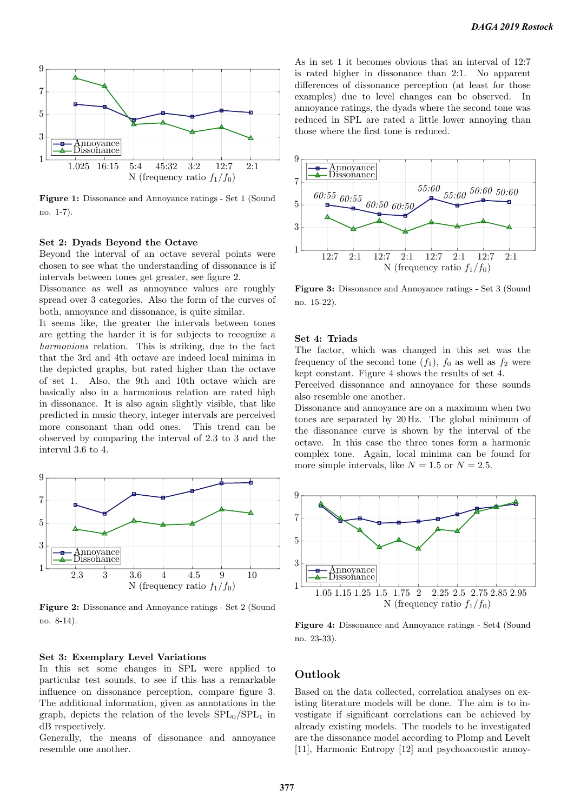

Figure 1: Dissonance and Annoyance ratings - Set 1 (Sound no. 1-7).

#### Set 2: Dyads Beyond the Octave

Beyond the interval of an octave several points were chosen to see what the understanding of dissonance is if intervals between tones get greater, see figure 2.

Dissonance as well as annoyance values are roughly spread over 3 categories. Also the form of the curves of both, annoyance and dissonance, is quite similar.

It seems like, the greater the intervals between tones are getting the harder it is for subjects to recognize a harmonious relation. This is striking, due to the fact that the 3rd and 4th octave are indeed local minima in the depicted graphs, but rated higher than the octave of set 1. Also, the 9th and 10th octave which are basically also in a harmonious relation are rated high in dissonance. It is also again slightly visible, that like predicted in music theory, integer intervals are perceived more consonant than odd ones. This trend can be observed by comparing the interval of 2.3 to 3 and the interval 3.6 to 4.



Figure 2: Dissonance and Annoyance ratings - Set 2 (Sound no. 8-14).

### Set 3: Exemplary Level Variations

In this set some changes in SPL were applied to particular test sounds, to see if this has a remarkable influence on dissonance perception, compare figure 3. The additional information, given as annotations in the graph, depicts the relation of the levels  $SPL<sub>0</sub>/SPL<sub>1</sub>$  in dB respectively.

Generally, the means of dissonance and annoyance resemble one another.

As in set 1 it becomes obvious that an interval of 12:7 is rated higher in dissonance than 2:1. No apparent differences of dissonance perception (at least for those examples) due to level changes can be observed. In annoyance ratings, the dyads where the second tone was reduced in SPL are rated a little lower annoying than those where the first tone is reduced.



Figure 3: Dissonance and Annoyance ratings - Set 3 (Sound no. 15-22).

#### Set 4: Triads

The factor, which was changed in this set was the frequency of the second tone  $(f_1)$ ,  $f_0$  as well as  $f_2$  were kept constant. Figure 4 shows the results of set 4.

Perceived dissonance and annoyance for these sounds also resemble one another.

Dissonance and annoyance are on a maximum when two tones are separated by 20 Hz. The global minimum of the dissonance curve is shown by the interval of the octave. In this case the three tones form a harmonic complex tone. Again, local minima can be found for more simple intervals, like  $N = 1.5$  or  $N = 2.5$ .



Figure 4: Dissonance and Annoyance ratings - Set4 (Sound no. 23-33).

# Outlook

Based on the data collected, correlation analyses on existing literature models will be done. The aim is to investigate if significant correlations can be achieved by already existing models. The models to be investigated are the dissonance model according to Plomp and Levelt [11], Harmonic Entropy [12] and psychoacoustic annoy